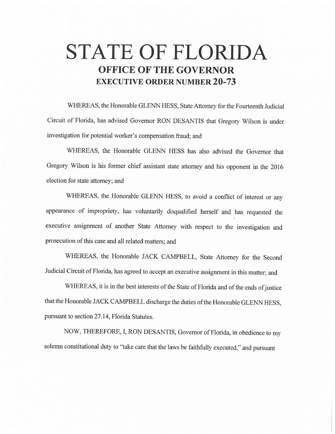# **STATE OF FLORIDA OFFICE OF THE GOVERNOR EXECUTIVE ORDER NUMBER 20-73**

WHEREAS, the Honorable GLENN HESS, State Attorney for the Fourteenth Judicial Circuit of Florida, has advised Governor RON DESANTIS that Gregory Wilson is under investigation for potential worker's compensation fraud; and

WHEREAS, the Honorable GLENN HESS has also advised the Governor that Gregory Wilson is his former chief assistant state attorney and his opponent in the 2016 election for state attorney; and

WHEREAS, the Honorable GLENN HESS, to avoid a conflict of interest or any appearance of impropriety, has voluntarily disqualified herself and has requested the executive assignment of another State Attorney with respect to the investigation and prosecution of this case and all related matters; and

WHEREAS, the Honorable JACK CAMPBELL, State Attorney for the Second Judicial Circuit of Florida, has agreed to accept an executive assignment in this matter; and

WHEREAS, it is in the best interests of the State of Florida and of the ends of justice that the Honorable JACK CAMPBELL discharge the duties of the Honorable GLENN HESS, pursuant to section 27.14, Florida Statutes.

NOW, THEREFORE, I, RON DESANTIS, Governor of Florida, in obedience to my solemn constitutional duty to "take care that the laws be faithfully executed," and pursuant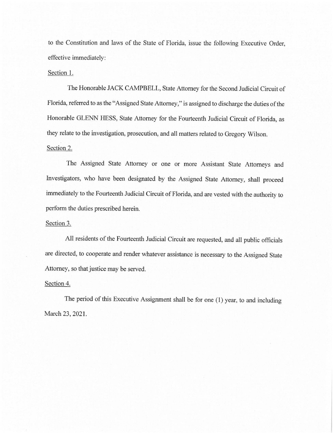to the Constitution and laws of the State of Florida, issue the following Executive Order, effective immediately:

## Section 1.

The Honorable JACK CAMPBELL, State Attorney for the Second Judicial Circuit of Florida, referred to as the "Assigned State Attorney," is assigned to discharge the duties of the Honorable GLENN HESS, State Attorney for the Fourteenth Judicial Circuit of Florida, as they relate to the investigation, prosecution, and all matters related to Gregory Wilson.

# Section 2.

The Assigned State Attorney or one or more Assistant State Attorneys and Investigators, who have been designated by the Assigned State Attorney, shall proceed immediately to the Fourteenth Judicial Circuit of Florida, and are vested with the authority to perform the duties prescribed herein.

## Section 3.

All residents of the Fourteenth Judicial Circuit are requested, and all public officials are directed, to cooperate and render whatever assistance is necessary to the Assigned State Attorney, so that justice may be served.

#### Section 4.

The period of this Executive Assignment shall be for one (I) year, to and including March 23, 2021.